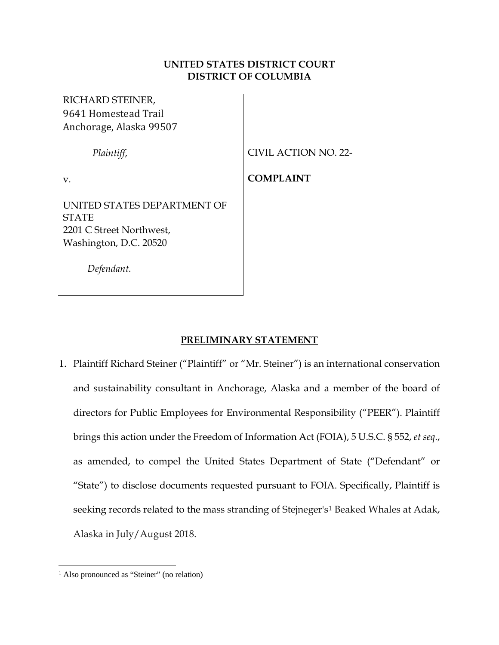## **UNITED STATES DISTRICT COURT DISTRICT OF COLUMBIA**

RICHARD STEINER, 9641 Homestead Trail Anchorage, Alaska 99507

*Plaintiff*,

CIVIL ACTION NO. 22-

**COMPLAINT**

v.

UNITED STATES DEPARTMENT OF STATE 2201 C Street Northwest, Washington, D.C. 20520

 *Defendant.*

# **PRELIMINARY STATEMENT**

1. Plaintiff Richard Steiner ("Plaintiff" or "Mr. Steiner") is an international conservation and sustainability consultant in Anchorage, Alaska and a member of the board of directors for Public Employees for Environmental Responsibility ("PEER"). Plaintiff brings this action under the Freedom of Information Act (FOIA), 5 U.S.C. § 552, *et seq*., as amended, to compel the United States Department of State ("Defendant" or "State") to disclose documents requested pursuant to FOIA. Specifically, Plaintiff is seeking records related to the mass stranding of Stejneger's[1](#page-0-0) Beaked Whales at Adak, Alaska in July/August 2018.

<span id="page-0-0"></span><sup>&</sup>lt;sup>1</sup> Also pronounced as "Steiner" (no relation)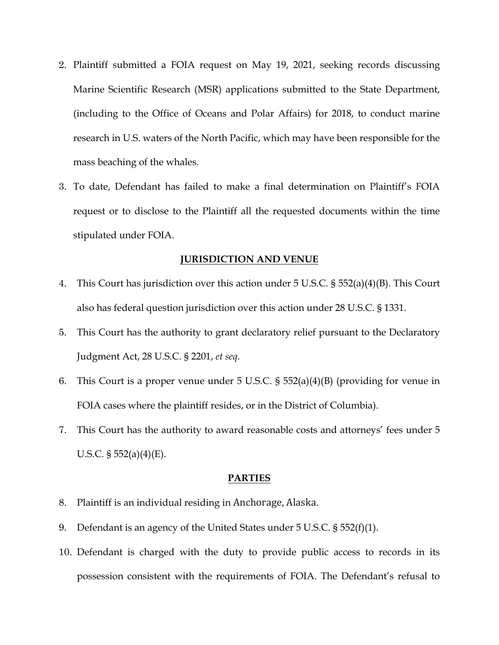- 2. Plaintiff submitted a FOIA request on May 19, 2021, seeking records discussing Marine Scientific Research (MSR) applications submitted to the State Department, (including to the Office of Oceans and Polar Affairs) for 2018, to conduct marine research in U.S. waters of the North Pacific, which may have been responsible for the mass beaching of the whales.
- 3. To date, Defendant has failed to make a final determination on Plaintiff's FOIA request or to disclose to the Plaintiff all the requested documents within the time stipulated under FOIA.

### **JURISDICTION AND VENUE**

- 4. This Court has jurisdiction over this action under 5 U.S.C. § 552(a)(4)(B). This Court also has federal question jurisdiction over this action under 28 U.S.C. § 1331.
- 5. This Court has the authority to grant declaratory relief pursuant to the Declaratory Judgment Act, 28 U.S.C. § 2201, *et seq*.
- 6. This Court is a proper venue under 5 U.S.C. § 552(a)(4)(B) (providing for venue in FOIA cases where the plaintiff resides, or in the District of Columbia).
- 7. This Court has the authority to award reasonable costs and attorneys' fees under 5 U.S.C.  $\S 552(a)(4)(E)$ .

#### **PARTIES**

- 8. Plaintiff is an individual residing in Anchorage, Alaska.
- 9. Defendant is an agency of the United States under 5 U.S.C. § 552(f)(1).
- 10. Defendant is charged with the duty to provide public access to records in its possession consistent with the requirements of FOIA. The Defendant's refusal to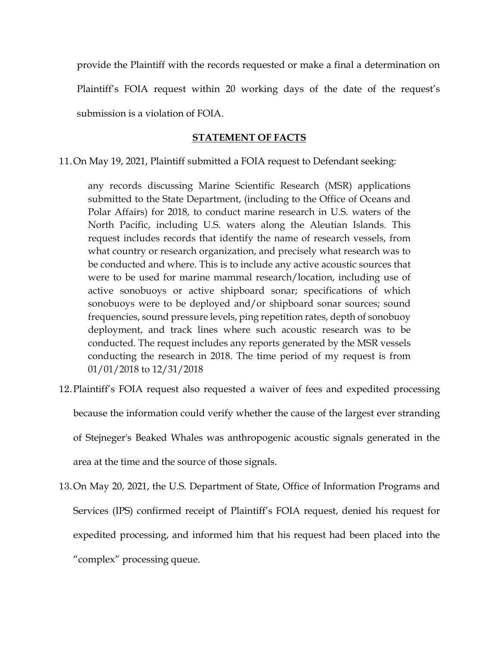provide the Plaintiff with the records requested or make a final a determination on Plaintiff's FOIA request within 20 working days of the date of the request's submission is a violation of FOIA.

## **STATEMENT OF FACTS**

11.On May 19, 2021, Plaintiff submitted a FOIA request to Defendant seeking:

any records discussing Marine Scientific Research (MSR) applications submitted to the State Department, (including to the Office of Oceans and Polar Affairs) for 2018, to conduct marine research in U.S. waters of the North Pacific, including U.S. waters along the Aleutian Islands. This request includes records that identify the name of research vessels, from what country or research organization, and precisely what research was to be conducted and where. This is to include any active acoustic sources that were to be used for marine mammal research/location, including use of active sonobuoys or active shipboard sonar; specifications of which sonobuoys were to be deployed and/or shipboard sonar sources; sound frequencies, sound pressure levels, ping repetition rates, depth of sonobuoy deployment, and track lines where such acoustic research was to be conducted. The request includes any reports generated by the MSR vessels conducting the research in 2018. The time period of my request is from 01/01/2018 to 12/31/2018

- 12.Plaintiff's FOIA request also requested a waiver of fees and expedited processing because the information could verify whether the cause of the largest ever stranding of Stejneger's Beaked Whales was anthropogenic acoustic signals generated in the area at the time and the source of those signals.
- 13.On May 20, 2021, the U.S. Department of State, Office of Information Programs and Services (IPS) confirmed receipt of Plaintiff's FOIA request, denied his request for expedited processing, and informed him that his request had been placed into the "complex" processing queue.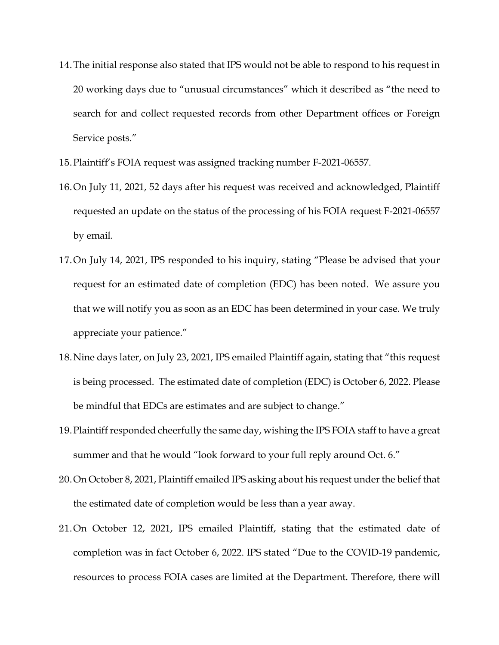- 14.The initial response also stated that IPS would not be able to respond to his request in 20 working days due to "unusual circumstances" which it described as "the need to search for and collect requested records from other Department offices or Foreign Service posts."
- 15.Plaintiff's FOIA request was assigned tracking number F-2021-06557.
- 16.On July 11, 2021, 52 days after his request was received and acknowledged, Plaintiff requested an update on the status of the processing of his FOIA request F-2021-06557 by email.
- 17.On July 14, 2021, IPS responded to his inquiry, stating "Please be advised that your request for an estimated date of completion (EDC) has been noted. We assure you that we will notify you as soon as an EDC has been determined in your case. We truly appreciate your patience."
- 18.Nine days later, on July 23, 2021, IPS emailed Plaintiff again, stating that "this request is being processed. The estimated date of completion (EDC) is October 6, 2022. Please be mindful that EDCs are estimates and are subject to change."
- 19.Plaintiff responded cheerfully the same day, wishing the IPS FOIA staff to have a great summer and that he would "look forward to your full reply around Oct. 6."
- 20.On October 8, 2021, Plaintiff emailed IPS asking about his request under the belief that the estimated date of completion would be less than a year away.
- 21.On October 12, 2021, IPS emailed Plaintiff, stating that the estimated date of completion was in fact October 6, 2022. IPS stated "Due to the COVID-19 pandemic, resources to process FOIA cases are limited at the Department. Therefore, there will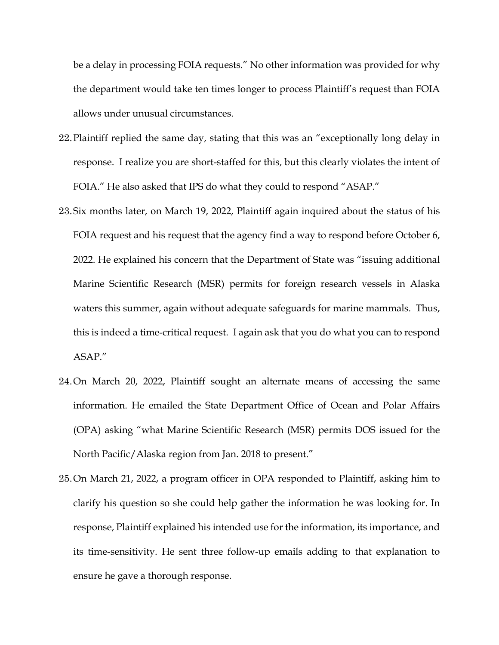be a delay in processing FOIA requests." No other information was provided for why the department would take ten times longer to process Plaintiff's request than FOIA allows under unusual circumstances.

- 22.Plaintiff replied the same day, stating that this was an "exceptionally long delay in response. I realize you are short-staffed for this, but this clearly violates the intent of FOIA." He also asked that IPS do what they could to respond "ASAP."
- 23.Six months later, on March 19, 2022, Plaintiff again inquired about the status of his FOIA request and his request that the agency find a way to respond before October 6, 2022. He explained his concern that the Department of State was "issuing additional Marine Scientific Research (MSR) permits for foreign research vessels in Alaska waters this summer, again without adequate safeguards for marine mammals. Thus, this is indeed a time-critical request. I again ask that you do what you can to respond ASAP."
- 24.On March 20, 2022, Plaintiff sought an alternate means of accessing the same information. He emailed the State Department Office of Ocean and Polar Affairs (OPA) asking "what Marine Scientific Research (MSR) permits DOS issued for the North Pacific/Alaska region from Jan. 2018 to present."
- 25.On March 21, 2022, a program officer in OPA responded to Plaintiff, asking him to clarify his question so she could help gather the information he was looking for. In response, Plaintiff explained his intended use for the information, its importance, and its time-sensitivity. He sent three follow-up emails adding to that explanation to ensure he gave a thorough response.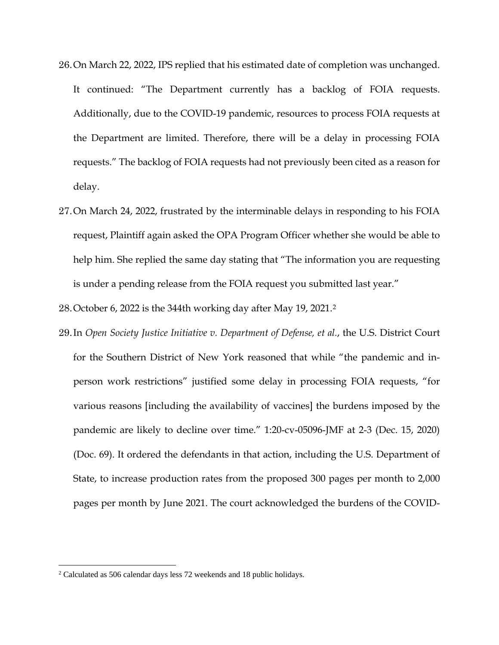- 26.On March 22, 2022, IPS replied that his estimated date of completion was unchanged. It continued: "The Department currently has a backlog of FOIA requests. Additionally, due to the COVID-19 pandemic, resources to process FOIA requests at the Department are limited. Therefore, there will be a delay in processing FOIA requests." The backlog of FOIA requests had not previously been cited as a reason for delay.
- 27.On March 24, 2022, frustrated by the interminable delays in responding to his FOIA request, Plaintiff again asked the OPA Program Officer whether she would be able to help him. She replied the same day stating that "The information you are requesting is under a pending release from the FOIA request you submitted last year."
- 28.October 6, 2022 is the 344th working day after May 19, 2021.[2](#page-5-0)
- 29.In *Open Society Justice Initiative v. Department of Defense, et al.*, the U.S. District Court for the Southern District of New York reasoned that while "the pandemic and inperson work restrictions" justified some delay in processing FOIA requests, "for various reasons [including the availability of vaccines] the burdens imposed by the pandemic are likely to decline over time." 1:20-cv-05096-JMF at 2-3 (Dec. 15, 2020) (Doc. 69). It ordered the defendants in that action, including the U.S. Department of State, to increase production rates from the proposed 300 pages per month to 2,000 pages per month by June 2021. The court acknowledged the burdens of the COVID-

<span id="page-5-0"></span><sup>&</sup>lt;sup>2</sup> Calculated as 506 calendar days less 72 weekends and 18 public holidays.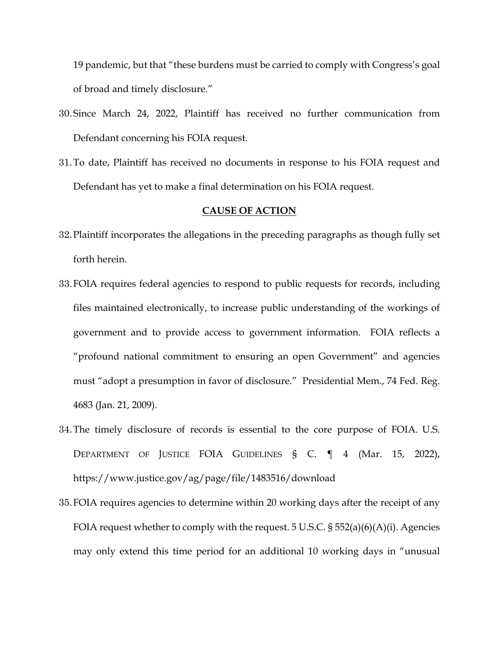19 pandemic, but that "these burdens must be carried to comply with Congress's goal of broad and timely disclosure."

- 30.Since March 24, 2022, Plaintiff has received no further communication from Defendant concerning his FOIA request.
- 31.To date, Plaintiff has received no documents in response to his FOIA request and Defendant has yet to make a final determination on his FOIA request.

#### **CAUSE OF ACTION**

- 32.Plaintiff incorporates the allegations in the preceding paragraphs as though fully set forth herein.
- 33.FOIA requires federal agencies to respond to public requests for records, including files maintained electronically, to increase public understanding of the workings of government and to provide access to government information. FOIA reflects a "profound national commitment to ensuring an open Government" and agencies must "adopt a presumption in favor of disclosure." Presidential Mem., 74 Fed. Reg. 4683 (Jan. 21, 2009).
- 34.The timely disclosure of records is essential to the core purpose of FOIA. U.S. DEPARTMENT OF JUSTICE FOIA GUIDELINES § C. ¶ 4 (Mar. 15, 2022), https://www.justice.gov/ag/page/file/1483516/download
- 35.FOIA requires agencies to determine within 20 working days after the receipt of any FOIA request whether to comply with the request. 5 U.S.C. § 552(a)(6)(A)(i). Agencies may only extend this time period for an additional 10 working days in "unusual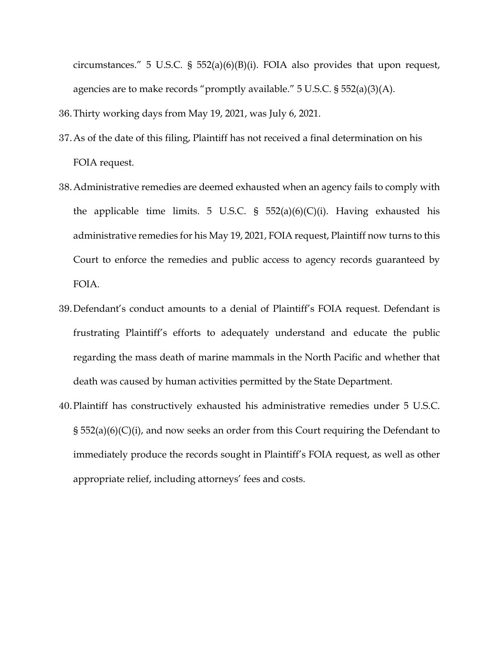circumstances." 5 U.S.C. § 552(a)(6)(B)(i). FOIA also provides that upon request, agencies are to make records "promptly available." 5 U.S.C. § 552(a)(3)(A).

36.Thirty working days from May 19, 2021, was July 6, 2021.

- 37.As of the date of this filing, Plaintiff has not received a final determination on his FOIA request.
- 38.Administrative remedies are deemed exhausted when an agency fails to comply with the applicable time limits. 5 U.S.C. §  $552(a)(6)(C)(i)$ . Having exhausted his administrative remedies for his May 19, 2021, FOIA request, Plaintiff now turns to this Court to enforce the remedies and public access to agency records guaranteed by FOIA.
- 39.Defendant's conduct amounts to a denial of Plaintiff's FOIA request. Defendant is frustrating Plaintiff's efforts to adequately understand and educate the public regarding the mass death of marine mammals in the North Pacific and whether that death was caused by human activities permitted by the State Department.
- 40.Plaintiff has constructively exhausted his administrative remedies under 5 U.S.C. § 552(a)(6)(C)(i), and now seeks an order from this Court requiring the Defendant to immediately produce the records sought in Plaintiff's FOIA request, as well as other appropriate relief, including attorneys' fees and costs.